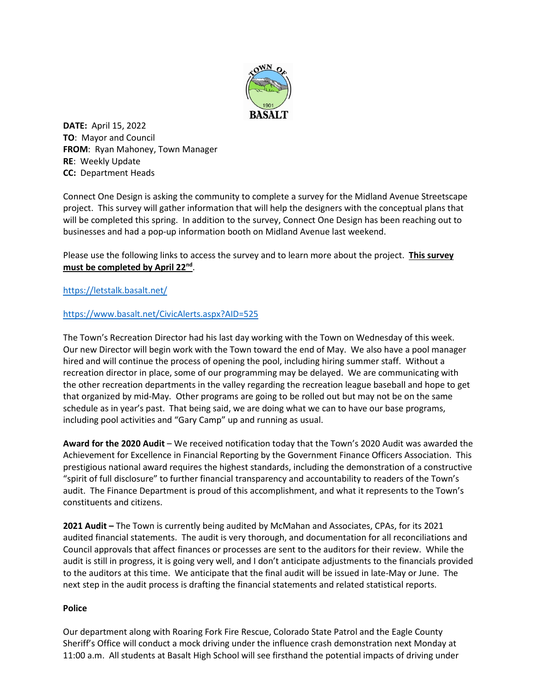

**DATE:** April 15, 2022 **TO**: Mayor and Council **FROM**: Ryan Mahoney, Town Manager **RE**: Weekly Update **CC:** Department Heads

Connect One Design is asking the community to complete a survey for the Midland Avenue Streetscape project. This survey will gather information that will help the designers with the conceptual plans that will be completed this spring. In addition to the survey, Connect One Design has been reaching out to businesses and had a pop-up information booth on Midland Avenue last weekend.

Please use the following links to access the survey and to learn more about the project. **This survey must be completed by April 22nd**.

# <https://letstalk.basalt.net/>

## <https://www.basalt.net/CivicAlerts.aspx?AID=525>

The Town's Recreation Director had his last day working with the Town on Wednesday of this week. Our new Director will begin work with the Town toward the end of May. We also have a pool manager hired and will continue the process of opening the pool, including hiring summer staff. Without a recreation director in place, some of our programming may be delayed. We are communicating with the other recreation departments in the valley regarding the recreation league baseball and hope to get that organized by mid-May. Other programs are going to be rolled out but may not be on the same schedule as in year's past. That being said, we are doing what we can to have our base programs, including pool activities and "Gary Camp" up and running as usual.

**Award for the 2020 Audit** – We received notification today that the Town's 2020 Audit was awarded the Achievement for Excellence in Financial Reporting by the Government Finance Officers Association. This prestigious national award requires the highest standards, including the demonstration of a constructive "spirit of full disclosure" to further financial transparency and accountability to readers of the Town's audit. The Finance Department is proud of this accomplishment, and what it represents to the Town's constituents and citizens.

**2021 Audit –** The Town is currently being audited by McMahan and Associates, CPAs, for its 2021 audited financial statements. The audit is very thorough, and documentation for all reconciliations and Council approvals that affect finances or processes are sent to the auditors for their review. While the audit is still in progress, it is going very well, and I don't anticipate adjustments to the financials provided to the auditors at this time. We anticipate that the final audit will be issued in late-May or June. The next step in the audit process is drafting the financial statements and related statistical reports.

## **Police**

Our department along with Roaring Fork Fire Rescue, Colorado State Patrol and the Eagle County Sheriff's Office will conduct a mock driving under the influence crash demonstration next Monday at 11:00 a.m. All students at Basalt High School will see firsthand the potential impacts of driving under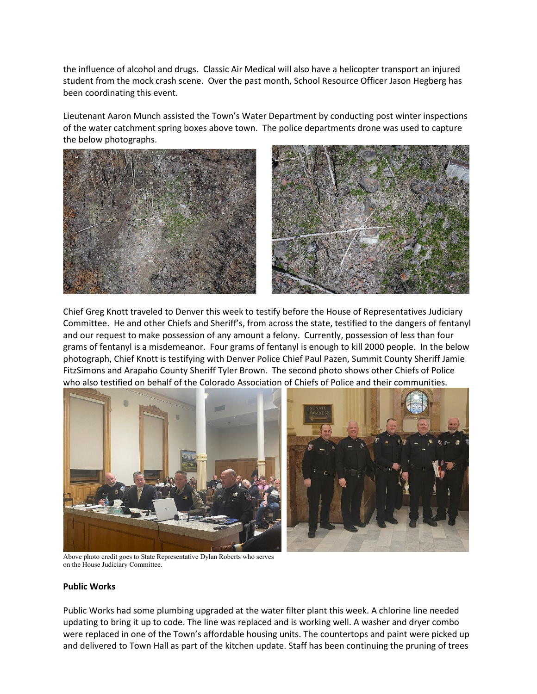the influence of alcohol and drugs. Classic Air Medical will also have a helicopter transport an injured student from the mock crash scene. Over the past month, School Resource Officer Jason Hegberg has been coordinating this event.

Lieutenant Aaron Munch assisted the Town's Water Department by conducting post winter inspections of the water catchment spring boxes above town. The police departments drone was used to capture the below photographs.



Chief Greg Knott traveled to Denver this week to testify before the House of Representatives Judiciary Committee. He and other Chiefs and Sheriff's, from across the state, testified to the dangers of fentanyl and our request to make possession of any amount a felony. Currently, possession of less than four grams of fentanyl is a misdemeanor. Four grams of fentanyl is enough to kill 2000 people. In the below photograph, Chief Knott is testifying with Denver Police Chief Paul Pazen, Summit County Sheriff Jamie FitzSimons and Arapaho County Sheriff Tyler Brown. The second photo shows other Chiefs of Police who also testified on behalf of the Colorado Association of Chiefs of Police and their communities.



 Above photo credit goes to State Representative Dylan Roberts who serves on the House Judiciary Committee.

## **Public Works**

Public Works had some plumbing upgraded at the water filter plant this week. A chlorine line needed updating to bring it up to code. The line was replaced and is working well. A washer and dryer combo were replaced in one of the Town's affordable housing units. The countertops and paint were picked up and delivered to Town Hall as part of the kitchen update. Staff has been continuing the pruning of trees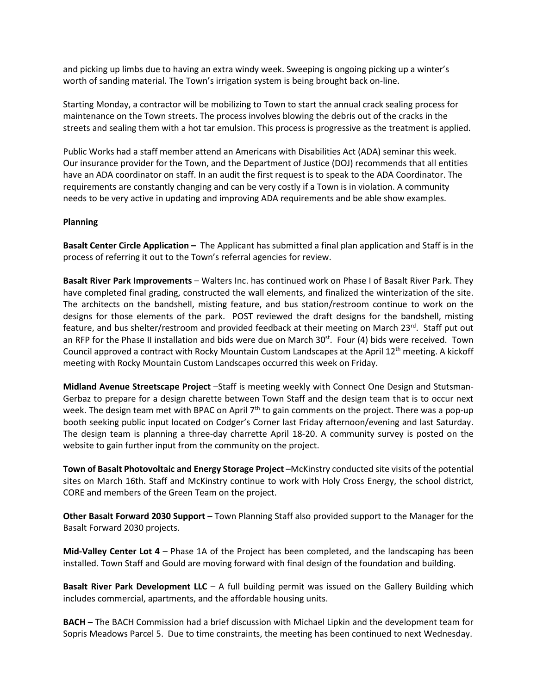and picking up limbs due to having an extra windy week. Sweeping is ongoing picking up a winter's worth of sanding material. The Town's irrigation system is being brought back on-line.

Starting Monday, a contractor will be mobilizing to Town to start the annual crack sealing process for maintenance on the Town streets. The process involves blowing the debris out of the cracks in the streets and sealing them with a hot tar emulsion. This process is progressive as the treatment is applied.

Public Works had a staff member attend an Americans with Disabilities Act (ADA) seminar this week. Our insurance provider for the Town, and the Department of Justice (DOJ) recommends that all entities have an ADA coordinator on staff. In an audit the first request is to speak to the ADA Coordinator. The requirements are constantly changing and can be very costly if a Town is in violation. A community needs to be very active in updating and improving ADA requirements and be able show examples.

### **Planning**

**Basalt Center Circle Application –** The Applicant has submitted a final plan application and Staff is in the process of referring it out to the Town's referral agencies for review.

**Basalt River Park Improvements** – Walters Inc. has continued work on Phase I of Basalt River Park. They have completed final grading, constructed the wall elements, and finalized the winterization of the site. The architects on the bandshell, misting feature, and bus station/restroom continue to work on the designs for those elements of the park. POST reviewed the draft designs for the bandshell, misting feature, and bus shelter/restroom and provided feedback at their meeting on March 23 $^{rd}$ . Staff put out an RFP for the Phase II installation and bids were due on March  $30^{st}$ . Four (4) bids were received. Town Council approved a contract with Rocky Mountain Custom Landscapes at the April 12<sup>th</sup> meeting. A kickoff meeting with Rocky Mountain Custom Landscapes occurred this week on Friday.

**Midland Avenue Streetscape Project** –Staff is meeting weekly with Connect One Design and Stutsman-Gerbaz to prepare for a design charette between Town Staff and the design team that is to occur next week. The design team met with BPAC on April 7<sup>th</sup> to gain comments on the project. There was a pop-up booth seeking public input located on Codger's Corner last Friday afternoon/evening and last Saturday. The design team is planning a three-day charrette April 18-20. A community survey is posted on the website to gain further input from the community on the project.

**Town of Basalt Photovoltaic and Energy Storage Project** –McKinstry conducted site visits of the potential sites on March 16th. Staff and McKinstry continue to work with Holy Cross Energy, the school district, CORE and members of the Green Team on the project.

**Other Basalt Forward 2030 Support** – Town Planning Staff also provided support to the Manager for the Basalt Forward 2030 projects.

**Mid-Valley Center Lot 4** – Phase 1A of the Project has been completed, and the landscaping has been installed. Town Staff and Gould are moving forward with final design of the foundation and building.

**Basalt River Park Development LLC** – A full building permit was issued on the Gallery Building which includes commercial, apartments, and the affordable housing units.

**BACH** – The BACH Commission had a brief discussion with Michael Lipkin and the development team for Sopris Meadows Parcel 5. Due to time constraints, the meeting has been continued to next Wednesday.